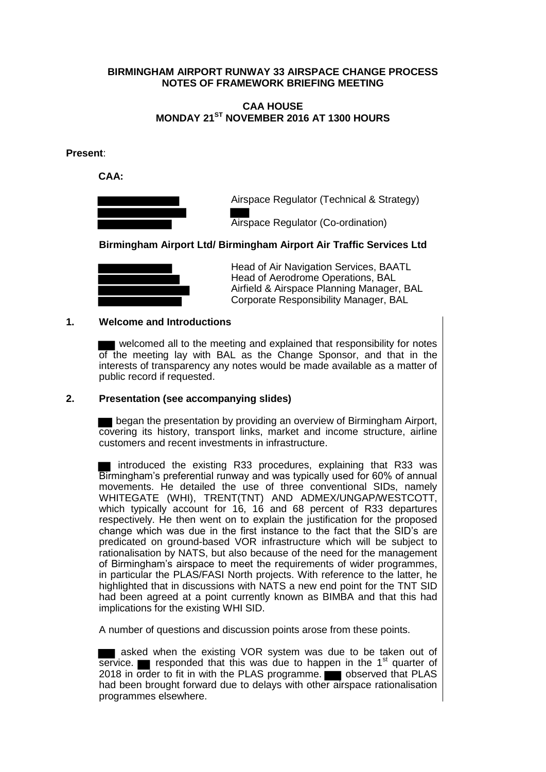## **BIRMINGHAM AIRPORT RUNWAY 33 AIRSPACE CHANGE PROCESS NOTES OF FRAMEWORK BRIEFING MEETING**

## **CAA HOUSE MONDAY 21ST NOVEMBER 2016 AT 1300 HOURS**

**Present**:

 **CAA:** 



Airspace Regulator (Technical & Strategy)

Airspace Regulator (Co-ordination)

**Birmingham Airport Ltd/ Birmingham Airport Air Traffic Services Ltd**



 Head of Air Navigation Services, BAATL Head of Aerodrome Operations, BAL Airfield & Airspace Planning Manager, BAL Corporate Responsibility Manager, BAL

## **1. Welcome and Introductions**

 welcomed all to the meeting and explained that responsibility for notes of the meeting lay with BAL as the Change Sponsor, and that in the interests of transparency any notes would be made available as a matter of public record if requested.

## **2. Presentation (see accompanying slides)**

**B** began the presentation by providing an overview of Birmingham Airport, covering its history, transport links, market and income structure, airline customers and recent investments in infrastructure.

I introduced the existing R33 procedures, explaining that R33 was Birmingham's preferential runway and was typically used for 60% of annual movements. He detailed the use of three conventional SIDs, namely WHITEGATE (WHI), TRENT(TNT) AND ADMEX/UNGAP/WESTCOTT, which typically account for 16, 16 and 68 percent of R33 departures respectively. He then went on to explain the justification for the proposed change which was due in the first instance to the fact that the SID's are predicated on ground-based VOR infrastructure which will be subject to rationalisation by NATS, but also because of the need for the management of Birmingham's airspace to meet the requirements of wider programmes, in particular the PLAS/FASI North projects. With reference to the latter, he highlighted that in discussions with NATS a new end point for the TNT SID had been agreed at a point currently known as BIMBA and that this had implications for the existing WHI SID.

A number of questions and discussion points arose from these points.

 asked when the existing VOR system was due to be taken out of service. **Follo** responded that this was due to happen in the 1<sup>st</sup> quarter of 2018 in order to fit in with the PLAS programme. **The observed that PLAS** had been brought forward due to delays with other airspace rationalisation programmes elsewhere.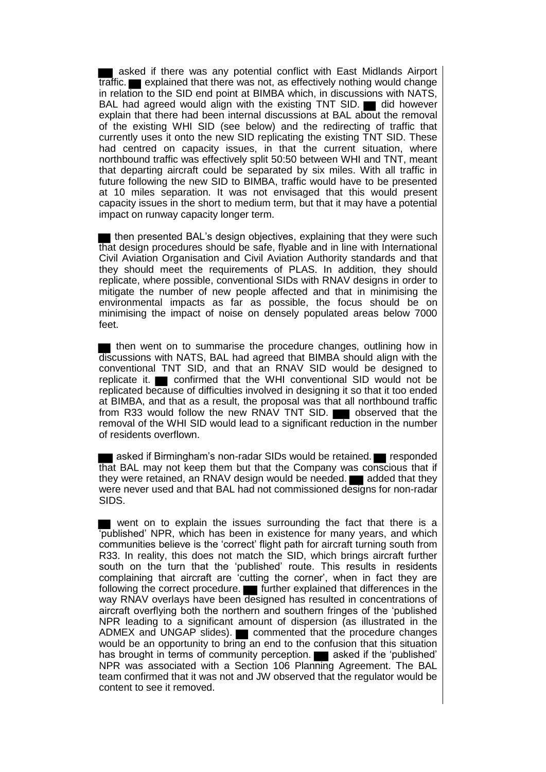asked if there was any potential conflict with East Midlands Airport  $\overline{\text{traffic.}}$  explained that there was not, as effectively nothing would change in relation to the SID end point at BIMBA which, in discussions with NATS, BAL had agreed would align with the existing TNT SID.  $\blacksquare$  did however explain that there had been internal discussions at BAL about the removal of the existing WHI SID (see below) and the redirecting of traffic that currently uses it onto the new SID replicating the existing TNT SID. These had centred on capacity issues, in that the current situation, where northbound traffic was effectively split 50:50 between WHI and TNT, meant that departing aircraft could be separated by six miles. With all traffic in future following the new SID to BIMBA, traffic would have to be presented at 10 miles separation. It was not envisaged that this would present capacity issues in the short to medium term, but that it may have a potential impact on runway capacity longer term.

**then presented BAL's design objectives, explaining that they were such** that design procedures should be safe, flyable and in line with International Civil Aviation Organisation and Civil Aviation Authority standards and that they should meet the requirements of PLAS. In addition, they should replicate, where possible, conventional SIDs with RNAV designs in order to mitigate the number of new people affected and that in minimising the environmental impacts as far as possible, the focus should be on minimising the impact of noise on densely populated areas below 7000 feet.

**then went on to summarise the procedure changes, outlining how in** discussions with NATS, BAL had agreed that BIMBA should align with the conventional TNT SID, and that an RNAV SID would be designed to replicate it.  $\blacksquare$  confirmed that the WHI conventional SID would not be replicated because of difficulties involved in designing it so that it too ended at BIMBA, and that as a result, the proposal was that all northbound traffic from R33 would follow the new RNAV TNT SID. observed that the removal of the WHI SID would lead to a significant reduction in the number of residents overflown.

asked if Birmingham's non-radar SIDs would be retained. responded that BAL may not keep them but that the Company was conscious that if they were retained, an RNAV design would be needed.  $\blacksquare$  added that they they were retained, an RNAV design would be needed. were never used and that BAL had not commissioned designs for non-radar SIDS.

went on to explain the issues surrounding the fact that there is a 'published' NPR, which has been in existence for many years, and which communities believe is the 'correct' flight path for aircraft turning south from R33. In reality, this does not match the SID, which brings aircraft further south on the turn that the 'published' route. This results in residents complaining that aircraft are 'cutting the corner', when in fact they are following the correct procedure. **Further explained that differences in the** way RNAV overlays have been designed has resulted in concentrations of aircraft overflying both the northern and southern fringes of the 'published NPR leading to a significant amount of dispersion (as illustrated in the ADMEX and UNGAP slides). commented that the procedure changes would be an opportunity to bring an end to the confusion that this situation has brought in terms of community perception. **a** asked if the 'published' NPR was associated with a Section 106 Planning Agreement. The BAL team confirmed that it was not and JW observed that the regulator would be content to see it removed.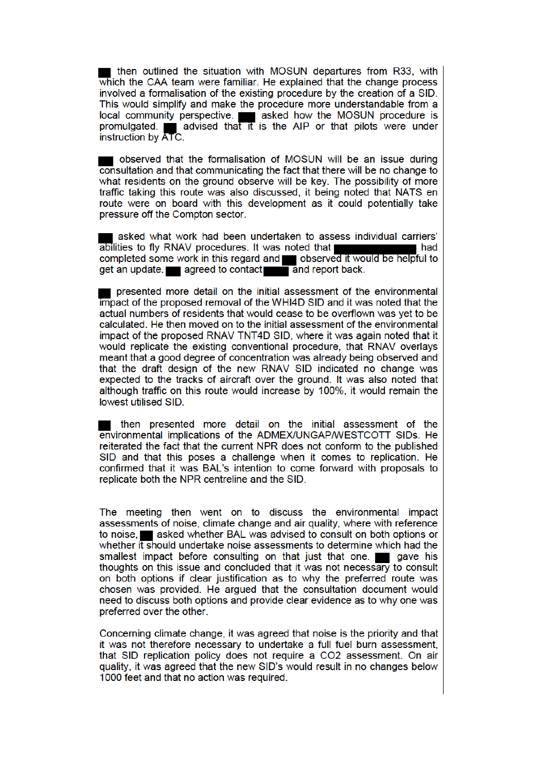then outlined the situation with MOSUN departures from R33, with which the CAA team were familiar. He explained that the change process involved a formalisation of the existing procedure by the creation of a SID. This would simplify and make the procedure more understandable from a local community perspective. say asked how the MOSUN procedure is promulgated. advised that it is the AIP or that pilots were under instruction by ATC.

observed that the formalisation of MOSUN will be an issue during consultation and that communicating the fact that there will be no change to what residents on the ground observe will be key. The possibility of more traffic taking this route was also discussed, it being noted that NATS en route were on board with this development as it could potentially take pressure off the Compton sector.

asked what work had been undertaken to assess individual carriers' abilities to fly RNAV procedures. It was noted that l had completed some work in this regard and observed it would be helpful to get an update. **Example 2** agreed to contact and report back.

presented more detail on the initial assessment of the environmental **impact of the proposed removal of the WHI4D SID and it was noted that the** actual numbers of residents that would cease to be overflown was yet to be calculated. He then moved on to the initial assessment of the environmental impact of the proposed RNAV TNT4D SID, where it was again noted that it would replicate the existing conventional procedure, that RNAV overlays meant that a good degree of concentration was already being observed and that the draft design of the new RNAV SID indicated no change was expected to the tracks of aircraft over the ground. It was also noted that although traffic on this route would increase by 100%, it would remain the lowest utilised SID.

then presented more detail on the initial assessment of the environmental implications of the ADMEX/UNGAP/WESTCOTT SIDs. He reiterated the fact that the current NPR does not conform to the published SID and that this poses a challenge when it comes to replication. He confirmed that it was BAL's intention to come forward with proposals to replicate both the NPR centreline and the SID.

The meeting then went on to discuss the environmental impact assessments of noise, climate change and air quality, where with reference to noise, asked whether BAL was advised to consult on both options or whether it should undertake noise assessments to determine which had the smallest impact before consulting on that just that one. gave his thoughts on this issue and concluded that it was not necessary to consult on both options if clear justification as to why the preferred route was chosen was provided. He arqued that the consultation document would need to discuss both options and provide clear evidence as to why one was preferred over the other.

Concerning climate change, it was agreed that noise is the priority and that it was not therefore necessary to undertake a full fuel burn assessment, that SID replication policy does not require a CO2 assessment. On air quality, it was agreed that the new SID's would result in no changes below 1000 feet and that no action was required.